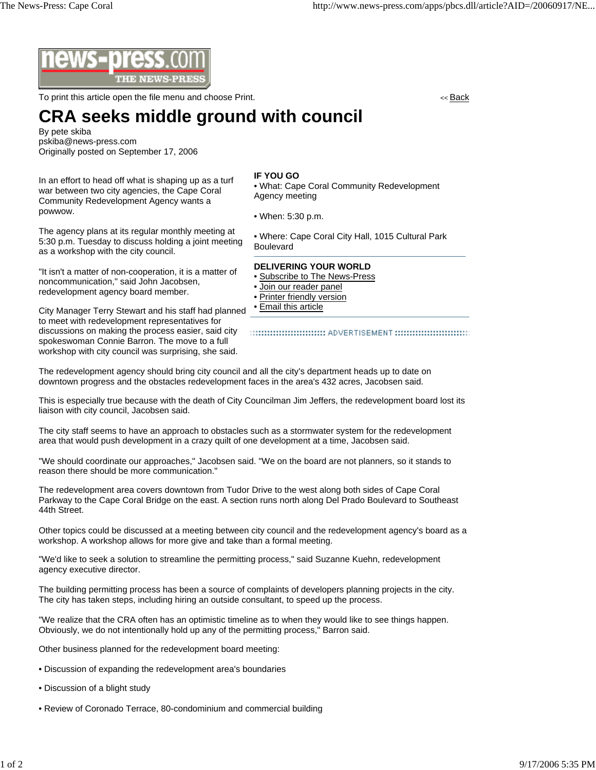

To print this article open the file menu and choose Print. << Back

## **CRA seeks middle ground with council**

By pete skiba pskiba@news-press.com Originally posted on September 17, 2006

In an effort to head off what is shaping up as a turf war between two city agencies, the Cape Coral Community Redevelopment Agency wants a powwow.

The agency plans at its regular monthly meeting at 5:30 p.m. Tuesday to discuss holding a joint meeting as a workshop with the city council.

"It isn't a matter of non-cooperation, it is a matter of noncommunication," said John Jacobsen, redevelopment agency board member.

City Manager Terry Stewart and his staff had planned to meet with redevelopment representatives for discussions on making the process easier, said city spokeswoman Connie Barron. The move to a full workshop with city council was surprising, she said.

## **IF YOU GO**

• What: Cape Coral Community Redevelopment Agency meeting

• When: 5:30 p.m.

• Where: Cape Coral City Hall, 1015 Cultural Park Boulevard

## **DELIVERING YOUR WORLD**

- Subscribe to The News-Press
- Join our reader panel
- Printer friendly version
- Email this article

:::::::::::::::::::::::::::::::: ADVERTISEMENT ::::::::::::::::::::::::::::::::

The redevelopment agency should bring city council and all the city's department heads up to date on downtown progress and the obstacles redevelopment faces in the area's 432 acres, Jacobsen said.

This is especially true because with the death of City Councilman Jim Jeffers, the redevelopment board lost its liaison with city council, Jacobsen said.

The city staff seems to have an approach to obstacles such as a stormwater system for the redevelopment area that would push development in a crazy quilt of one development at a time, Jacobsen said.

"We should coordinate our approaches," Jacobsen said. "We on the board are not planners, so it stands to reason there should be more communication."

The redevelopment area covers downtown from Tudor Drive to the west along both sides of Cape Coral Parkway to the Cape Coral Bridge on the east. A section runs north along Del Prado Boulevard to Southeast 44th Street.

Other topics could be discussed at a meeting between city council and the redevelopment agency's board as a workshop. A workshop allows for more give and take than a formal meeting.

"We'd like to seek a solution to streamline the permitting process," said Suzanne Kuehn, redevelopment agency executive director.

The building permitting process has been a source of complaints of developers planning projects in the city. The city has taken steps, including hiring an outside consultant, to speed up the process.

"We realize that the CRA often has an optimistic timeline as to when they would like to see things happen. Obviously, we do not intentionally hold up any of the permitting process," Barron said.

Other business planned for the redevelopment board meeting:

- Discussion of expanding the redevelopment area's boundaries
- Discussion of a blight study
- Review of Coronado Terrace, 80-condominium and commercial building